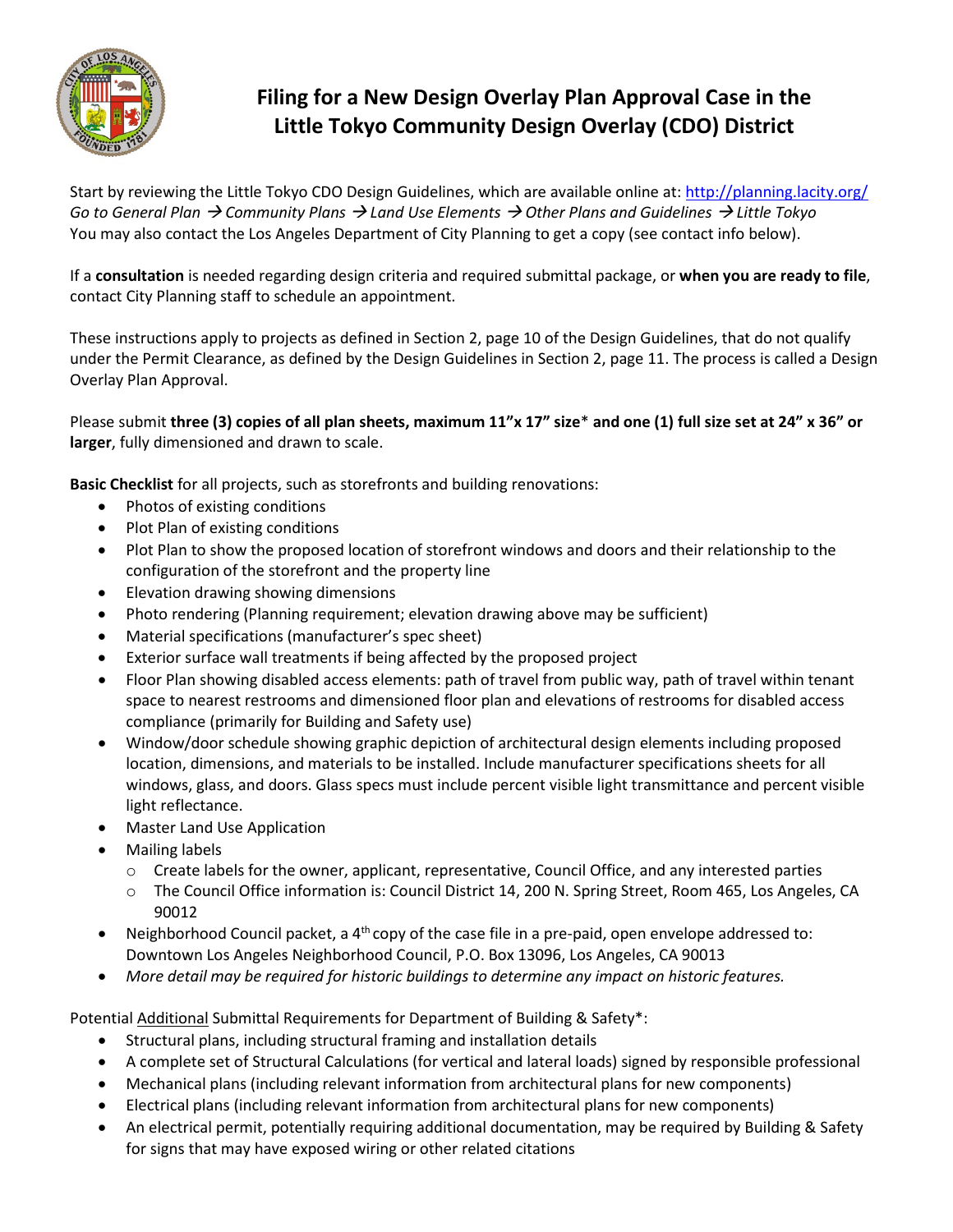

## **Filing for a New Design Overlay Plan Approval Case in the Little Tokyo Community Design Overlay (CDO) District**

Start by reviewing the Little Tokyo CDO Design Guidelines, which are available online at[: http://planning.lacity.org/](http://planning.lacity.org/) *Go to General Plan Community Plans Land Use Elements Other Plans and Guidelines Little Tokyo* You may also contact the Los Angeles Department of City Planning to get a copy (see contact info below).

If a **consultation** is needed regarding design criteria and required submittal package, or **when you are ready to file**, contact City Planning staff to schedule an appointment.

These instructions apply to projects as defined in Section 2, page 10 of the Design Guidelines, that do not qualify under the Permit Clearance, as defined by the Design Guidelines in Section 2, page 11. The process is called a Design Overlay Plan Approval.

Please submit **three (3) copies of all plan sheets, maximum 11"x 17" size**\* **and one (1) full size set at 24" x 36" or larger**, fully dimensioned and drawn to scale.

**Basic Checklist** for all projects, such as storefronts and building renovations:

- Photos of existing conditions
- Plot Plan of existing conditions
- Plot Plan to show the proposed location of storefront windows and doors and their relationship to the configuration of the storefront and the property line
- Elevation drawing showing dimensions
- Photo rendering (Planning requirement; elevation drawing above may be sufficient)
- Material specifications (manufacturer's spec sheet)
- Exterior surface wall treatments if being affected by the proposed project
- Floor Plan showing disabled access elements: path of travel from public way, path of travel within tenant space to nearest restrooms and dimensioned floor plan and elevations of restrooms for disabled access compliance (primarily for Building and Safety use)
- Window/door schedule showing graphic depiction of architectural design elements including proposed location, dimensions, and materials to be installed. Include manufacturer specifications sheets for all windows, glass, and doors. Glass specs must include percent visible light transmittance and percent visible light reflectance.
- Master Land Use Application
- Mailing labels
	- o Create labels for the owner, applicant, representative, Council Office, and any interested parties
	- o The Council Office information is: Council District 14, 200 N. Spring Street, Room 465, Los Angeles, CA 90012
- Neighborhood Council packet, a  $4<sup>th</sup>$  copy of the case file in a pre-paid, open envelope addressed to: Downtown Los Angeles Neighborhood Council, P.O. Box 13096, Los Angeles, CA 90013
- *More detail may be required for historic buildings to determine any impact on historic features.*

Potential Additional Submittal Requirements for Department of Building & Safety\*:

- Structural plans, including structural framing and installation details
- A complete set of Structural Calculations (for vertical and lateral loads) signed by responsible professional
- Mechanical plans (including relevant information from architectural plans for new components)
- Electrical plans (including relevant information from architectural plans for new components)
- An electrical permit, potentially requiring additional documentation, may be required by Building & Safety for signs that may have exposed wiring or other related citations